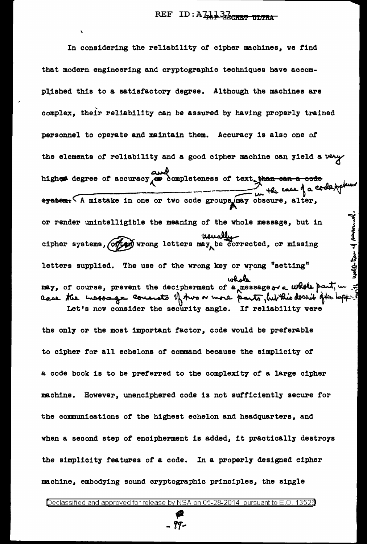In considering the reliability of cipher machines, we find that modern engineering and cryptographic techniques have accomplished this to a satisfactory degree. Although the machines are complex, their reliability can be assured by having properly trained personnel to operate and maintain them. Accuracy is also one of the elements of reliability and a good cipher machine can yield a very higher degree of accuracy completeness of text than can a code system. (A mistake in one or two code groups may obscure, alter, or render unintelligible the meaning of the whole message, but in<br>cipher systems, (of any wrong letters may be corrected, or missing<br>letters supplied. The use of the wrong key or wrong "setting"<br>may, of course, prevent the Let's now consider the security angle. If reliability were

the only or the most important factor, code would be preferable to cipher for all echelons of command because the simplicity of a code book is to be preferred to the complexity of a large cipher However, unenciphered code is not sufficiently secure for machine. the communications of the highest echelon and headquarters, and when a second step of encipherment is added, it practically destroys the simplicity features of a code. In a properly designed cipher machine, embodying sound cryptographic principles, the single

99-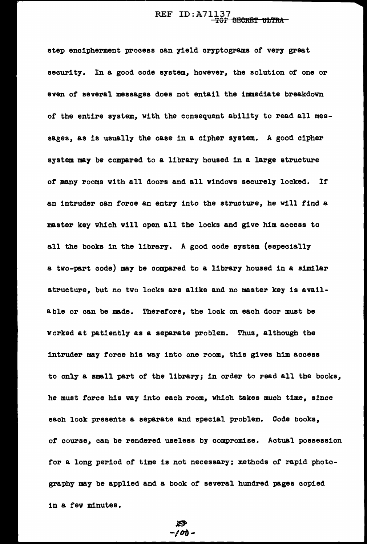## REF ID: A71137 <del>TOP BECRET ULTRA</del>

step encipherment process can yield cryptograms of very great security. In a good code system, however, the solution of one or even or several messages does not entail the immediate breakdown or the entire system, with the consequent ability to read all messages, as is usually the case in a cipher system. A good cipher system may be compared to a library housed in a large structure *ot* many rooms with all doors and all windows securely locked. If an intruder can torce an entry into the structure, he will find a master key which will open all the locks and give him access to all the books in the library. A good code system (especially a two-part code) may be compared to a library housed in a similar structure, but no two locks are alike and no master key is available or can be made. Therefore, the lock on each door must be worked at patiently as a separate problem. Thus, although the intruder may force his way into one room, this gives him access to only a small part of the library; in order to read all the books, he must force his vay into each room, which takes much time, since each lock presents a separate and special problem. Code books, of course, can be rendered useless by compromise. Actual possession for a long period of time is not necessary; methods of rapid photography may be applied and a book of several hundred pages copied in a few minutes.

 $100 -$